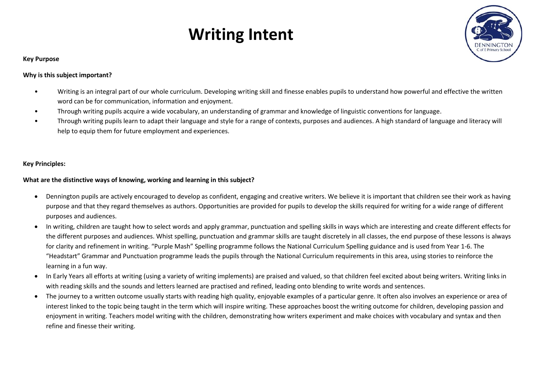# **Writing Intent**



## **Key Purpose**

## **Why is this subject important?**

- Writing is an integral part of our whole curriculum. Developing writing skill and finesse enables pupils to understand how powerful and effective the written word can be for communication, information and enjoyment.
- Through writing pupils acquire a wide vocabulary, an understanding of grammar and knowledge of linguistic conventions for language.
- Through writing pupils learn to adapt their language and style for a range of contexts, purposes and audiences. A high standard of language and literacy will help to equip them for future employment and experiences.

## **Key Principles:**

## **What are the distinctive ways of knowing, working and learning in this subject?**

- Dennington pupils are actively encouraged to develop as confident, engaging and creative writers. We believe it is important that children see their work as having purpose and that they regard themselves as authors. Opportunities are provided for pupils to develop the skills required for writing for a wide range of different purposes and audiences.
- In writing, children are taught how to select words and apply grammar, punctuation and spelling skills in ways which are interesting and create different effects for the different purposes and audiences. Whist spelling, punctuation and grammar skills are taught discretely in all classes, the end purpose of these lessons is always for clarity and refinement in writing. "Purple Mash" Spelling programme follows the National Curriculum Spelling guidance and is used from Year 1-6. The "Headstart" Grammar and Punctuation programme leads the pupils through the National Curriculum requirements in this area, using stories to reinforce the learning in a fun way.
- In Early Years all efforts at writing (using a variety of writing implements) are praised and valued, so that children feel excited about being writers. Writing links in with reading skills and the sounds and letters learned are practised and refined, leading onto blending to write words and sentences.
- The journey to a written outcome usually starts with reading high quality, enjoyable examples of a particular genre. It often also involves an experience or area of interest linked to the topic being taught in the term which will inspire writing. These approaches boost the writing outcome for children, developing passion and enjoyment in writing. Teachers model writing with the children, demonstrating how writers experiment and make choices with vocabulary and syntax and then refine and finesse their writing.